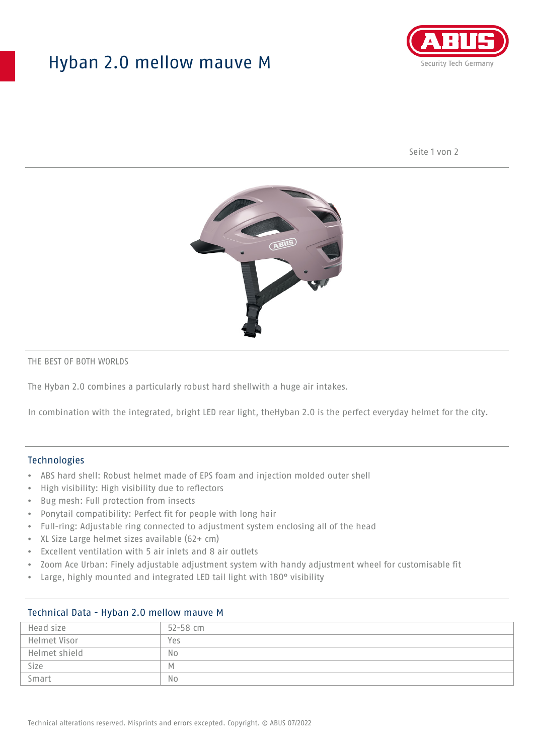# Hyban 2.0 mellow mauve M



Seite 1 von 2



#### THE BEST OF BOTH WORLDS

The Hyban 2.0 combines a particularly robust hard shellwith a huge air intakes.

In combination with the integrated, bright LED rear light, theHyban 2.0 is the perfect everyday helmet for the city.

#### Technologies

- ABS hard shell: Robust helmet made of EPS foam and injection molded outer shell
- High visibility: High visibility due to reflectors
- Bug mesh: Full protection from insects
- Ponytail compatibility: Perfect fit for people with long hair
- Full-ring: Adjustable ring connected to adjustment system enclosing all of the head
- XL Size Large helmet sizes available (62+ cm)
- Excellent ventilation with 5 air inlets and 8 air outlets
- Zoom Ace Urban: Finely adjustable adjustment system with handy adjustment wheel for customisable fit
- Large, highly mounted and integrated LED tail light with 180° visibility

### Technical Data - Hyban 2.0 mellow mauve M

| Head size     | 52-58 cm |
|---------------|----------|
| Helmet Visor  | Yes      |
| Helmet shield | No       |
| Size          | M        |
| Smart         | No       |